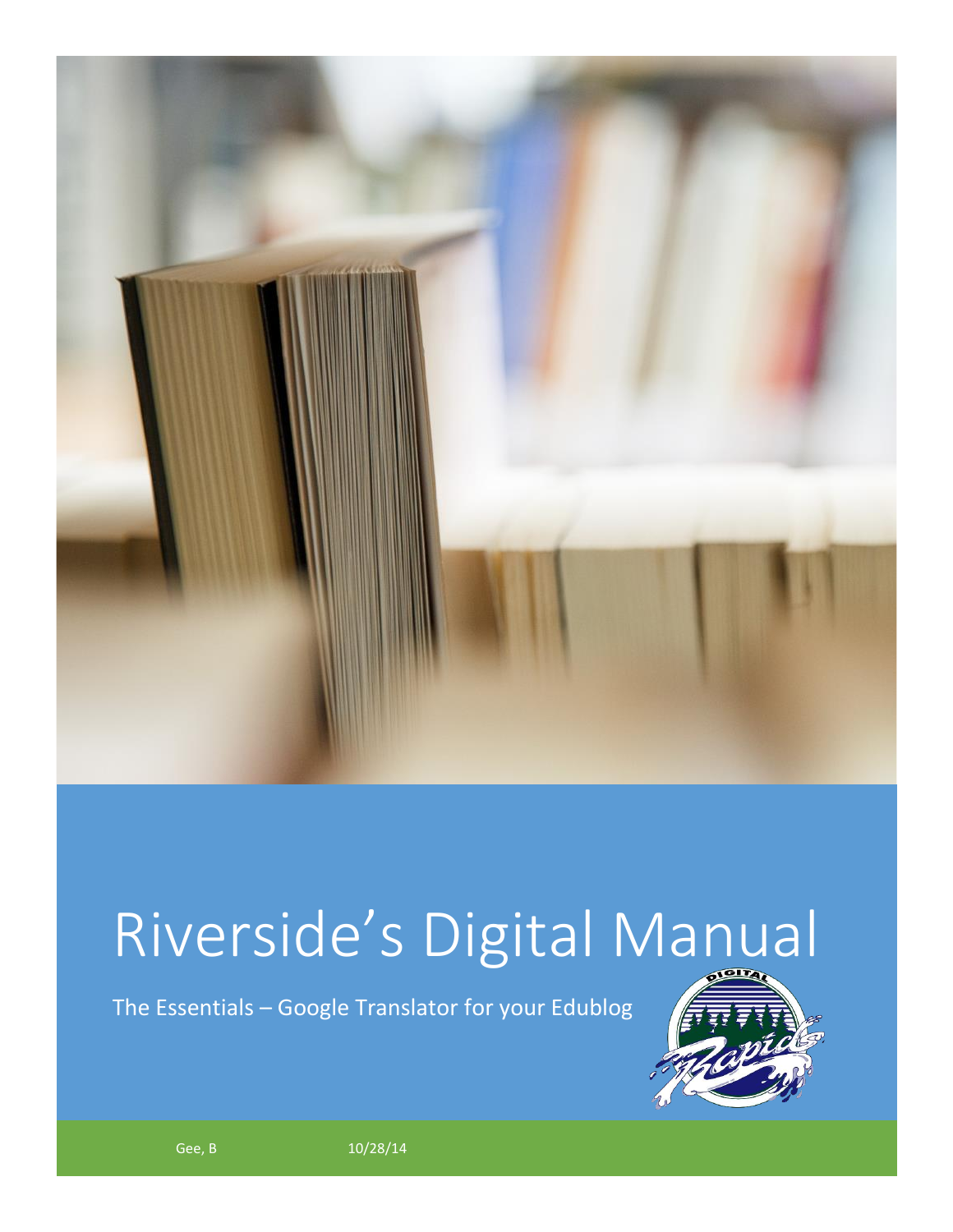

## Riverside's Digital Manual

The Essentials – Google Translator for your Edublog



Gee, B  $10/28/14$  and  $10/28/14$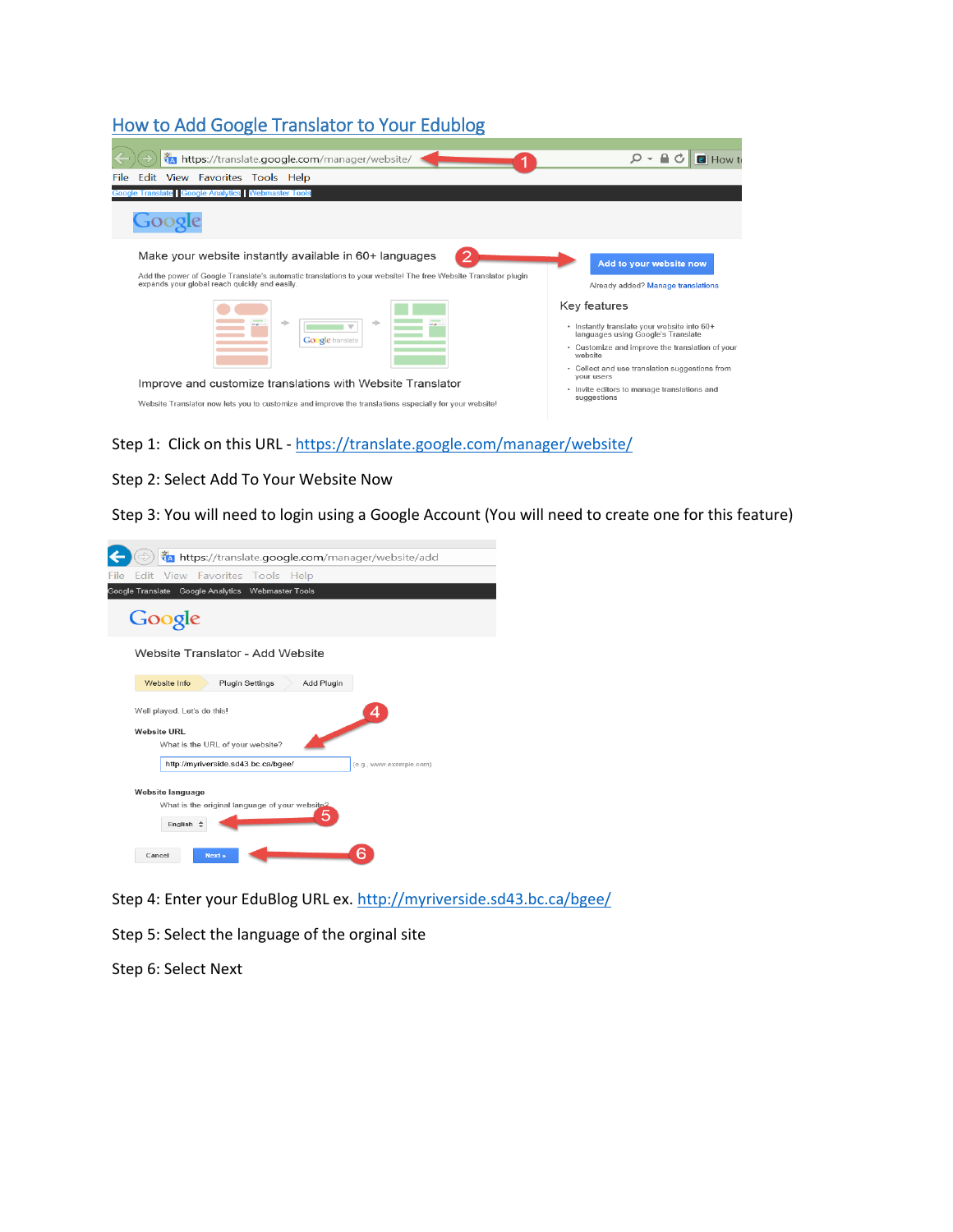## How to Add Google Translator to Your Edublog

| Ma https://translate.google.com/manager/website/                                                                                                                                                                          | $\Omega$ - $\Omega$<br>Ċ<br>e How t                                                                                                                                                                               |
|---------------------------------------------------------------------------------------------------------------------------------------------------------------------------------------------------------------------------|-------------------------------------------------------------------------------------------------------------------------------------------------------------------------------------------------------------------|
| Edit View Favorites Tools Help<br>File                                                                                                                                                                                    |                                                                                                                                                                                                                   |
| <b>Google Translate Google Analytics Webmaster Tools</b>                                                                                                                                                                  |                                                                                                                                                                                                                   |
|                                                                                                                                                                                                                           |                                                                                                                                                                                                                   |
| Make your website instantly available in 60+ languages<br>Add the power of Google Translate's automatic translations to your website! The free Website Translator plugin<br>expands your global reach quickly and easily. | Add to your website now<br>Already added? Manage translations                                                                                                                                                     |
| <b>Google</b> translate                                                                                                                                                                                                   | Key features<br>· Instantly translate your website into 60+<br>languages using Google's Translate<br>• Customize and improve the translation of your<br>website<br>• Collect and use translation suggestions from |
| Improve and customize translations with Website Translator<br>Website Translator now lets you to customize and improve the translations especially for your website!                                                      | your users<br>• Invite editors to manage translations and<br>suggestions                                                                                                                                          |

Step 1: Click on this URL - <https://translate.google.com/manager/website/>

## Step 2: Select Add To Your Website Now

Step 3: You will need to login using a Google Account (You will need to create one for this feature)

| TA https://translate.google.com/manager/website/add                           |
|-------------------------------------------------------------------------------|
| Edit View Favorites Tools Help<br>File                                        |
| Google Translate Google Analytics Webmaster Tools                             |
| Google                                                                        |
| Website Translator - Add Website                                              |
| Website Info<br><b>Plugin Settings</b><br>Add Plugin                          |
| Well played. Let's do this!<br>4                                              |
| <b>Website URL</b>                                                            |
| What is the URL of your website?                                              |
| http://myriverside.sd43.bc.ca/bgee/<br>(e.g., www.example.com)                |
| Website language<br>What is the original language of your website?<br>English |
| Cancel<br>Next »                                                              |

Step 4: Enter your EduBlog URL ex[. http://myriverside.sd43.bc.ca/bgee/](http://myriverside.sd43.bc.ca/bgee/)

Step 5: Select the language of the orginal site

Step 6: Select Next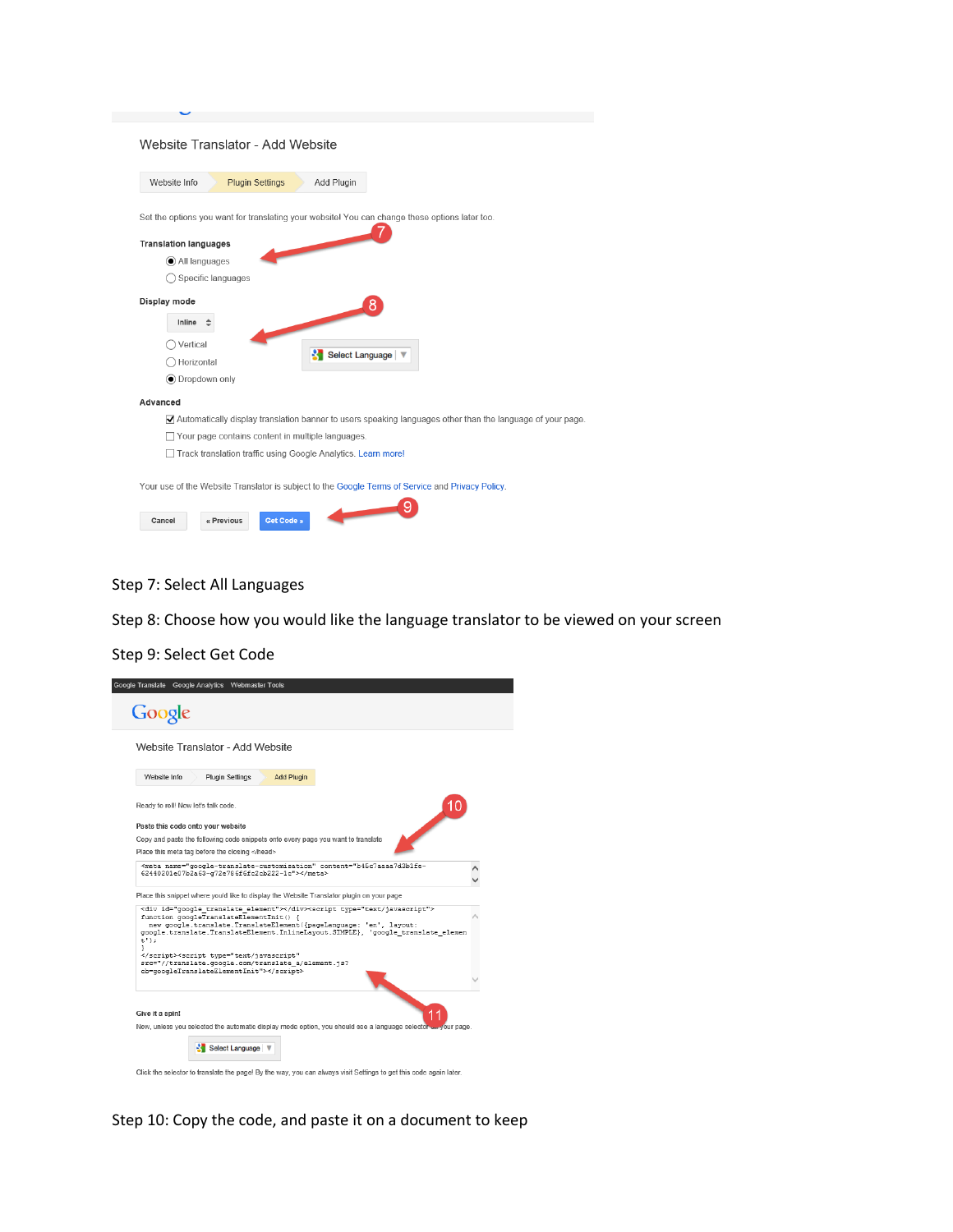| Website Info                 | <b>Plugin Settings</b> | Website Translator - Add Website<br>Add Plugin                |                 |                                                                                                  |                                                                                                                                 |
|------------------------------|------------------------|---------------------------------------------------------------|-----------------|--------------------------------------------------------------------------------------------------|---------------------------------------------------------------------------------------------------------------------------------|
|                              |                        |                                                               |                 |                                                                                                  |                                                                                                                                 |
|                              |                        |                                                               |                 | Set the options you want for translating your website! You can change these options later too.   |                                                                                                                                 |
| <b>Translation languages</b> |                        |                                                               |                 |                                                                                                  |                                                                                                                                 |
| All languages                |                        |                                                               |                 |                                                                                                  |                                                                                                                                 |
|                              | Specific languages     |                                                               |                 |                                                                                                  |                                                                                                                                 |
| Display mode                 |                        |                                                               | 8               |                                                                                                  |                                                                                                                                 |
| Inline                       |                        |                                                               |                 |                                                                                                  |                                                                                                                                 |
| Vertical                     |                        |                                                               |                 |                                                                                                  |                                                                                                                                 |
| Horizontal                   |                        |                                                               | Select Language |                                                                                                  |                                                                                                                                 |
| <b>●</b> Dropdown only       |                        |                                                               |                 |                                                                                                  |                                                                                                                                 |
| Advanced                     |                        |                                                               |                 |                                                                                                  |                                                                                                                                 |
|                              |                        |                                                               |                 |                                                                                                  | $\blacktriangledown$ Automatically display translation banner to users speaking languages other than the language of your page. |
|                              |                        | Your page contains content in multiple languages.             |                 |                                                                                                  |                                                                                                                                 |
|                              |                        | Track translation traffic using Google Analytics. Learn more! |                 |                                                                                                  |                                                                                                                                 |
|                              |                        |                                                               |                 |                                                                                                  |                                                                                                                                 |
|                              |                        |                                                               |                 | Your use of the Website Translator is subject to the Google Terms of Service and Privacy Policy. |                                                                                                                                 |
|                              |                        |                                                               |                 |                                                                                                  |                                                                                                                                 |
| Cancel                       | « Previous             | Get Code »                                                    |                 |                                                                                                  |                                                                                                                                 |

Step 7: Select All Languages

Step 8: Choose how you would like the language translator to be viewed on your screen

Step 9: Select Get Code



Step 10: Copy the code, and paste it on a document to keep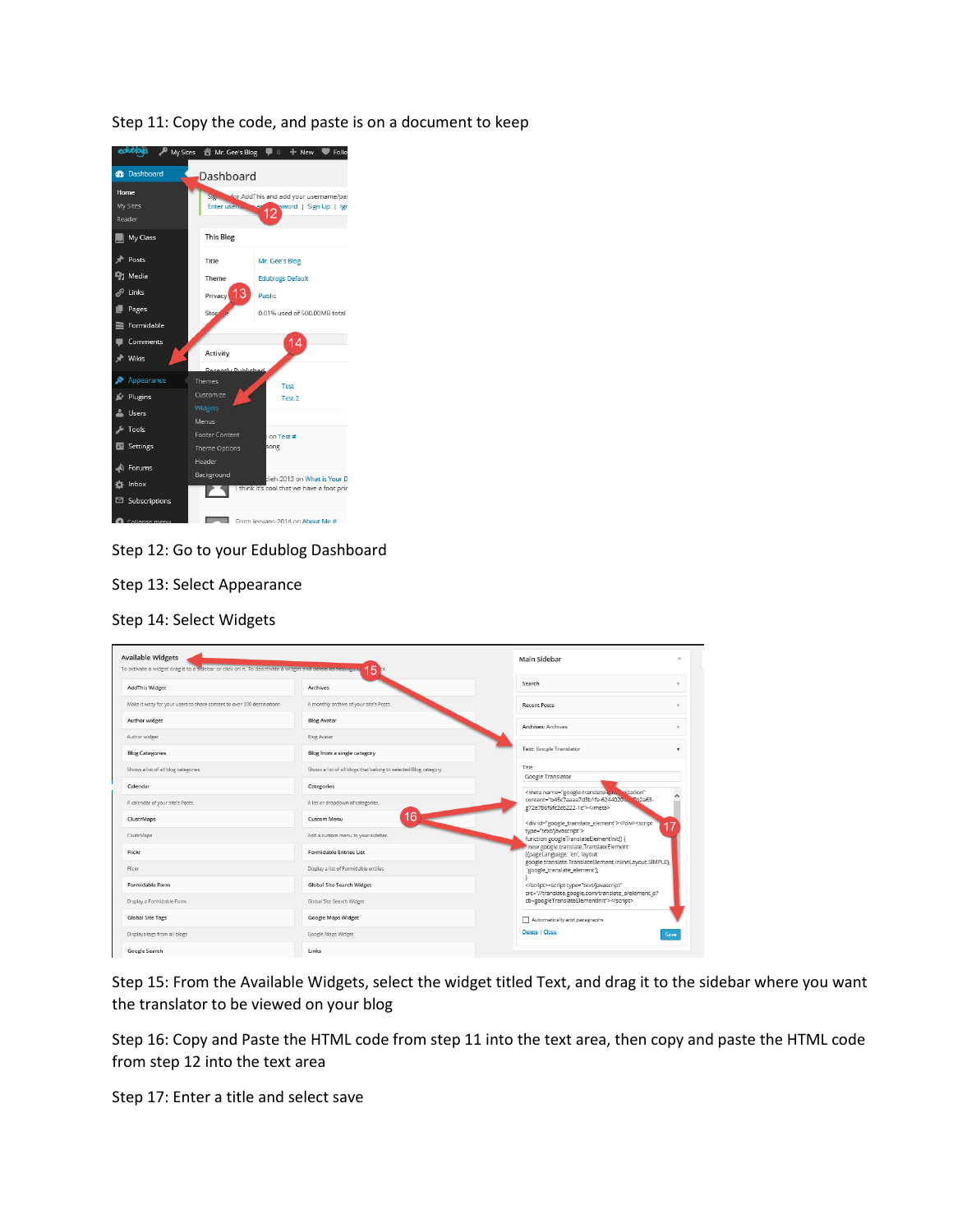Step 11: Copy the code, and paste is on a document to keep



Step 12: Go to your Edublog Dashboard

Step 13: Select Appearance

Step 14: Select Widgets

| <b>Available Widgets</b><br>To activate a widget drag it to a sidebar or click on it. To deactivate a widget and delete its settings, a | 15                                                               | Main Sidebar                                                                                                                                                                                                               |
|-----------------------------------------------------------------------------------------------------------------------------------------|------------------------------------------------------------------|----------------------------------------------------------------------------------------------------------------------------------------------------------------------------------------------------------------------------|
| <b>AddThis Widget</b>                                                                                                                   | Archives                                                         | Search                                                                                                                                                                                                                     |
| Make it wasy for your users to share content to over 300 destinations                                                                   | A monthly archive of your site's Posts.                          | <b>Recent Posts</b>                                                                                                                                                                                                        |
| Author widget                                                                                                                           | <b>Blog Avatar</b>                                               | <b>Archives: Archives</b>                                                                                                                                                                                                  |
| Author widget                                                                                                                           | <b>Blog Avatar</b>                                               |                                                                                                                                                                                                                            |
| <b>Blog Categories</b>                                                                                                                  | Blog from a single category                                      | <b>Text: Google Translator</b>                                                                                                                                                                                             |
| Shows a list of all blog categories.                                                                                                    | Shows a list of all blogs that belong to selected Blog category. | Title:<br>Google Translator                                                                                                                                                                                                |
| Calendar                                                                                                                                | Categories                                                       | <meta <="" name="google-translate-custom" td=""/>                                                                                                                                                                          |
| A calendar of your site's Posts.                                                                                                        | A list or dropdown of categories.                                | content="b45c7aaaa7d3b1fe-6244020105b2a63-<br>g72e786f6fc2cb222-1c">                                                                                                                                                       |
| ClustrMaps                                                                                                                              | 16<br><b>Custom Menu</b>                                         | <div id="google_translate_element"></div> <script< td=""></script<>                                                                                                                                                        |
| ClustrMaps                                                                                                                              | Add a custom menu to your sidebar.                               | type="text/javascript"><br>function googleTranslateElementInit() {                                                                                                                                                         |
| Flickr                                                                                                                                  | <b>Formidable Entries List</b>                                   | new google.translate.TranslateElement<br>({pageLanguage: 'en', layout:                                                                                                                                                     |
| Flickr                                                                                                                                  | Display a list of Formidable entries                             | google.translate.TranslateElement.InlineLayout.SIMPLE},<br>'google_translate_element');                                                                                                                                    |
| Formidable Form                                                                                                                         | <b>Global Site Search Widget</b>                                 | <script <="" td="" type="text/javascript"></tr><tr><td>Display a Formidable Form</td><td>Global Site Search Widget</td><td>src="//translate.google.com/translate_a/element.js?<br>cb=googleTranslateElementInit"></script> |
| <b>Global Site Tags</b>                                                                                                                 | <b>Google Maps Widget</b>                                        | Automatically add paragraphs                                                                                                                                                                                               |
| Displays tags from all blogs                                                                                                            | Google Maps Widget                                               | Delete   Close<br>Save                                                                                                                                                                                                     |
| Google Search                                                                                                                           | Links                                                            |                                                                                                                                                                                                                            |

Step 15: From the Available Widgets, select the widget titled Text, and drag it to the sidebar where you want the translator to be viewed on your blog

Step 16: Copy and Paste the HTML code from step 11 into the text area, then copy and paste the HTML code from step 12 into the text area

Step 17: Enter a title and select save